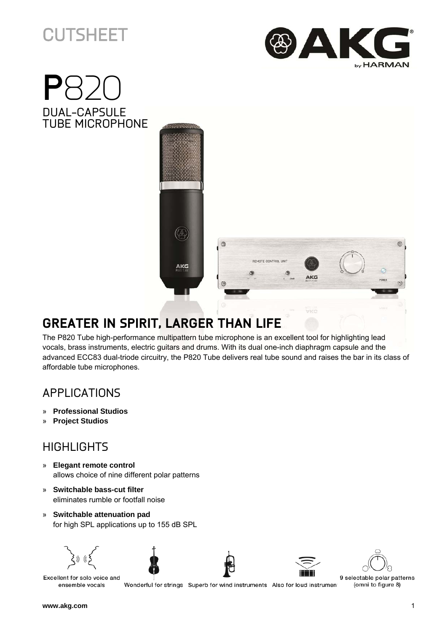# **CUTSHEET**







## **GREATER IN SPIRIT, LARGER THAN LIFE**

The P820 Tube high-performance multipattern tube microphone is an excellent tool for highlighting lead vocals, brass instruments, electric guitars and drums. With its dual one-inch diaphragm capsule and the advanced ECC83 dual-triode circuitry, the P820 Tube delivers real tube sound and raises the bar in its class of affordable tube microphones.

### APPLICATIONS

- » **Professional Studios**
- » **Project Studios**

#### **HIGHLIGHTS**

- » **Elegant remote control** allows choice of nine different polar patterns
- » **Switchable bass-cut filter** eliminates rumble or footfall noise
- » **Switchable attenuation pad** for high SPL applications up to 155 dB SPL











Excellent for solo voice and ensemble vocals

Wonderful for strings Superb for wind instruments Also for loud instrumen

9 selectable polar patterns (omni to figure 8)